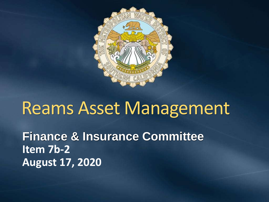

# Reams Asset Management

**Finance & Insurance Committee Item 7b-2 August 17, 2020**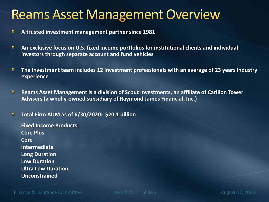### **Reams Asset Management Overview**

- **A trusted investment management partner since 1981** ٠
- **An exclusive focus on U.S. fixed income portfolios for institutional clients and individual**  ٠ **investors through separate account and fund vehicles**
- ٠ **The investment team includes 12 investment professionals with an average of 23 years industry experience**
- **Reams Asset Management is a division of Scout Investments, an affiliate of Carillon Tower**  e. **Advisers (a wholly-owned subsidiary of Raymond James Financial, Inc.)**

#### O. **Total Firm AUM as of 6/30/2020: \$20.1 billion**

**Fixed Income Products: Core Plus Core Intermediate Long Duration Low Duration Ultra Low Duration Unconstrained**

Finance & Insurance Committee The Item # 7b-2 Slide 2 August 17, 2020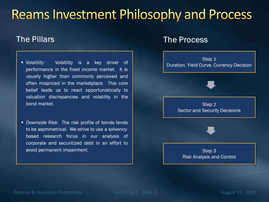### **Reams Investment Philosophy and Process**

### **The Pillars**

- Volatility: Volatility is a key driver of performance in the fixed income market. It is usually higher than commonly perceived and often mispriced in the marketplace. This core belief leads us to react opportunistically to valuation discrepancies and volatility in the bond market.
- Downside Risk: The risk profile of bonds tends to be asymmetrical. We strive to use a solvencybased research focus in our analysis of corporate and securitized debt in an effort to avoid permanent impairment.

### **The Process**



Finance & Insurance Committee The Item # 7b-2 Slide 3 August 17, 2020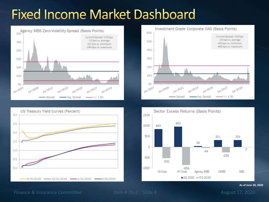# **Fixed Income Market Dashboard**









Finance & Insurance Committee

**As of June 30, 2020**

4 August 17, 2020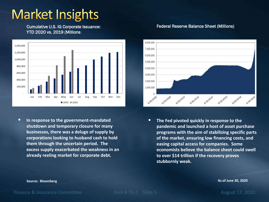## **Market Insights**

Cumulative U.S. IG Corporate Issuance: YTD 2020 vs. 2019 (Millions)



▪ **In response to the government-mandated shutdown and temporary closure for many businesses, there was a deluge of supply by corporations looking to husband cash to hold them through the uncertain period. The excess supply exacerbated the weakness in an already reeling market for corporate debt.**

### B000-000 7,000,000 6,000,000 5.000.000 4,000,000 3,000,000 2,000,000 1,000,000  $\theta$ a/solizose 8/30/2018 6/30/2020

■ The Fed pivoted quickly in response to the **pandemic and launched a host of asset purchase programs with the aim of stabilizing specific parts of the market, ensuring low financing costs, and easing capital access for companies. Some economists believe the balance sheet could swell to over \$14 trillion if the recovery proves stubbornly weak.**

Finance & Insurance Committee The Item # 7b-2 Slide 5 August 17, 2020

#### Federal Reserve Balance Sheet (Millions)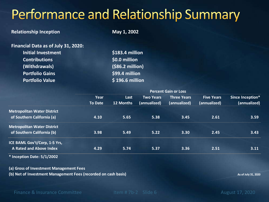## Performance and Relationship Summary

#### **Relationship Inception May 1, 2002**

| Financial Data as of July 31, 2020: |                  |
|-------------------------------------|------------------|
| <b>Initial Investment</b>           | \$183.4 million  |
| <b>Contributions</b>                | \$0.0 million    |
| (Withdrawals)                       | (\$86.2 million) |
| <b>Portfolio Gains</b>              | \$99.4 million   |
| <b>Portfolio Value</b>              | \$196.6 million  |

|                                    | <b>Percent Gain or Loss</b>                                                                     |           |              |              |              |              |
|------------------------------------|-------------------------------------------------------------------------------------------------|-----------|--------------|--------------|--------------|--------------|
|                                    | Since Inception*<br><b>Two Years</b><br><b>Five Years</b><br>Year<br><b>Three Years</b><br>Last |           |              |              |              |              |
|                                    | <b>To Date</b>                                                                                  | 12 Months | (annualized) | (annualized) | (annualized) | (annualized) |
| <b>Metropolitan Water District</b> |                                                                                                 |           |              |              |              |              |
| of Southern California (a)         | 4.10                                                                                            | 5.65      | 5.38         | 3.45         | 2.61         | 3.59         |
| <b>Metropolitan Water District</b> |                                                                                                 |           |              |              |              |              |
| of Southern California (b)         | 3.98                                                                                            | 5.49      | 5.22         | 3.30         | 2.45         | 3.43         |
| ICE BAML Gov't/Corp, 1-5 Yrs,      |                                                                                                 |           |              |              |              |              |
| <b>A Rated and Above Index</b>     | 4.29                                                                                            | 5.74      | 5.37         | 3.36         | 2.51         | 3.11         |
| * Inception Date: 5/1/2002         |                                                                                                 |           |              |              |              |              |

**(a) Gross of Investment Management Fees**

**(b) Net of Investment Management Fees (recorded on cash basis) As of July 31, 2020** As of July 31, 2020

Finance & Insurance Committee Item # 7b-2 Slide 6 August 17, 2020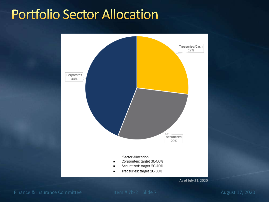### **Portfolio Sector Allocation**



Finance & Insurance Committee Item # 7b-2 Slide 7 August 17, 2020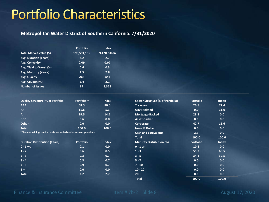### **Portfolio Characteristics**

#### **Metropolitan Water District of Southern California: 7/31/2020**

|                              | <b>Portfolio</b> | <b>Index</b>  |
|------------------------------|------------------|---------------|
| Total Market Value (\$)      | 196,591,155      | 9,120 billion |
| <b>Avg. Duration (Years)</b> | 2.2              | 2.7           |
| <b>Avg. Convexity</b>        | 0.09             | 0.07          |
| Avg. Yield to Worst (%)      | 0.6              | 0.3           |
| Avg. Maturity (Years)        | 2.5              | 2.8           |
| Avg. Quality                 | Aa <sub>2</sub>  | Aa1           |
| Avg. Coupon (%)              | 2.4              | 2.1           |
| <b>Number of Issues</b>      | 87               | 2,379         |
|                              |                  |               |

| <b>Quality Structure (% of Portfolio)</b> | Portfolio <sup>*</sup> | <b>Index</b> | Sector Structure (% of Portfolio) | Portfolio | Index |
|-------------------------------------------|------------------------|--------------|-----------------------------------|-----------|-------|
| <b>AAA</b>                                | 58.3                   | 80.0         | <b>Treasury</b>                   | 26.8      | 72.4  |
| AA                                        | 11.6                   | 5.3          | <b>Govt Related</b>               | 0.0       | 11.0  |
| A                                         | 29.5                   | 14.7         | Mortgage-Backed                   | 28.2      | 0.0   |
| <b>BBB</b>                                | 0.6                    | 0.0          | Asset-Backed                      | 0.0       | 0.0   |
| Other                                     | 0.0                    | 0.0          | Corporate                         | 42.7      | 16.6  |
| <b>Total</b>                              | 100.0                  | 100.0        | <b>Non-US Dollar</b>              | 0.0       | 0.0   |

**\* The methodology used is consistent with client investment guidelines.**

| Duration Distribution (Years) | <b>Portfolio</b> | <b>Index</b> | <b>Maturity Distribution (%)</b> | <b>Portfolio</b> | <b>Index</b> |
|-------------------------------|------------------|--------------|----------------------------------|------------------|--------------|
| $0 - 1$ yr.                   | 0.1              | 0.0          | $0 - 1$ yr.                      | 10.3             | 0.0          |
| $1 - 2$                       | 0.6              | 0.5          | $1 - 3$                          | 55.3             | 60.5         |
| $2 - 3$                       | 0.3              | 0.7          | $3 - 5$                          | 34.3             | 39.5         |
| $3 - 4$                       | 0.3              | 0.7          | $5 - 7$                          | 0.0              | 0.0          |
| $4 - 5$                       | 0.9              | 0.7          | $7 - 10$                         | 0.0              | 0.0          |
| $5+$                          | 0.0              | 0.0          | $10 - 20$                        | 0.0              | 0.0          |
| <b>Total</b>                  | 2.2              | 2.7          | $20 +$                           | 0.0              | 0.0          |

| Sector Structure (% of Portfolio) | <b>Portfolio</b> | <b>Index</b> |
|-----------------------------------|------------------|--------------|
| <b>Treasury</b>                   | 26.8             | 72.4         |
| <b>Govt Related</b>               | 0.0              | 11.0         |
| Mortgage-Backed                   | 28.2             | 0.0          |
| Asset-Backed                      | 0.0              | 0.0          |
| Corporate                         | 42.7             | 16.6         |
| <b>Non-US Dollar</b>              | 0.0              | 0.0          |
| <b>Cash and Equivalents</b>       | 2.3              | 0.0          |
| <b>Total</b>                      | 100.0            | 100.0        |
| <b>Maturity Distribution (%)</b>  | <b>Portfolio</b> | <b>Index</b> |
| $0 - 1$ yr.                       | 10.3             | 0.0          |
| $1 - 3$                           | 55.3             | 60.5         |
| $3 - 5$                           | 34.3             | 39.5         |
| $5 - 7$                           | 0.0              | 0.0          |
| $7 - 10$                          | 0.0              | 0.0          |
| $10 - 20$                         | 0.0              | 0.0          |
| $20 +$                            | 0.0              | 0.0          |
| <b>Total</b>                      | 100.0            | 100.0        |

Finance & Insurance Committee Item # 7b-2 Slide 8 August 17, 2020